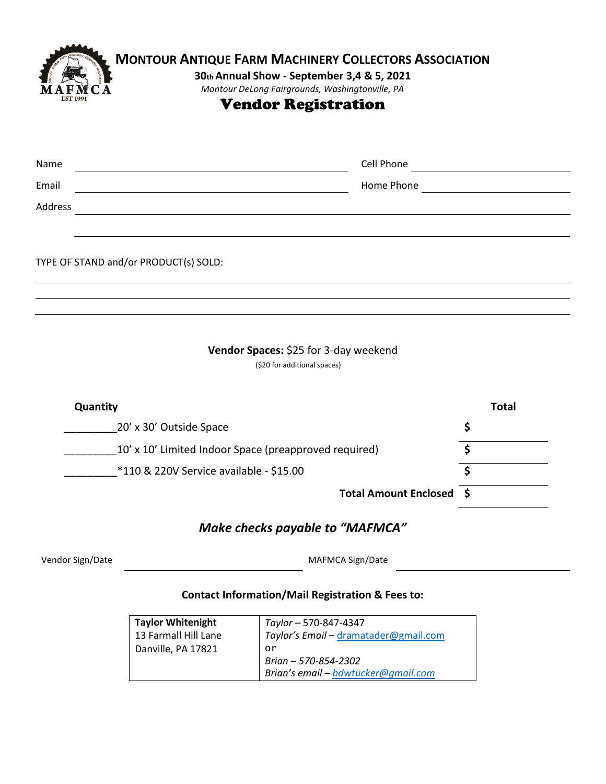

# **MONTOUR ANTIQUE FARM MACHINERY COLLECTORS ASSOCIATION**

### **30th Annual Show - September 3,4 & 5, 2021**

*Montour DeLong Fairgrounds, Washingtonville, PA*

# Vendor Registration

| Name                                  | Cell Phone |  |
|---------------------------------------|------------|--|
| Email                                 | Home Phone |  |
| Address                               |            |  |
|                                       |            |  |
|                                       |            |  |
| TYPE OF STAND and/or PRODUCT(s) SOLD: |            |  |
|                                       |            |  |
|                                       |            |  |

#### **Vendor Spaces:** \$25 for 3-day weekend

(\$20 for additional spaces)

| Quantity                                              | Total |
|-------------------------------------------------------|-------|
| 20' x 30' Outside Space                               |       |
| 10' x 10' Limited Indoor Space (preapproved required) |       |
| *110 & 220V Service available - \$15.00               |       |
| Total Amount Enclosed \$                              |       |
|                                                       |       |

## *Make checks payable to "MAFMCA"*

Vendor Sign/Date MAFMCA Sign/Date

#### **Contact Information/Mail Registration & Fees to:**

| <b>Taylor Whitenight</b> | Taylor - 570-847-4347                 |
|--------------------------|---------------------------------------|
| 13 Farmall Hill Lane     | Taylor's Email - dramatader@gmail.com |
| Danville, PA 17821       | or                                    |
|                          | Brian - 570-854-2302                  |
|                          | Brian's email - bdwtucker@gmail.com   |